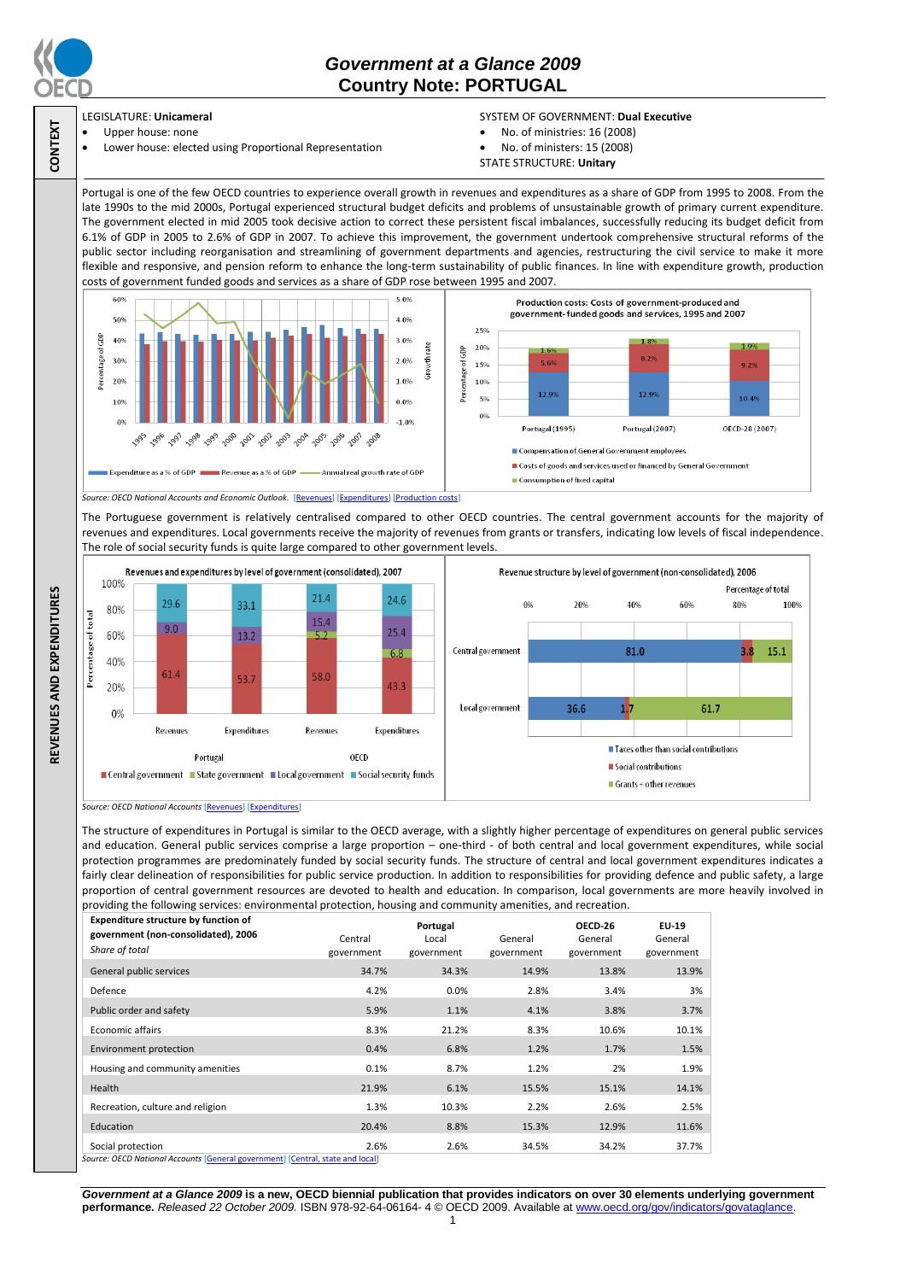

**CONTEXT**

**REVENUES AND EXPENDITURES**

REVENUES AND EXPENDITURES

## *Government at a Glance 2009*  **Country Note: PORTUGAL**

## LEGISLATURE: **Unicameral** Upper house: none

Lower house: elected using Proportional Representation

## SYSTEM OF GOVERNMENT: **Dual Executive**

- No. of ministries: 16 (2008)
- No. of ministers: 15 (2008) STATE STRUCTURE: **Unitary**

Portugal is one of the few OECD countries to experience overall growth in revenues and expenditures as a share of GDP from 1995 to 2008. From the late 1990s to the mid 2000s, Portugal experienced structural budget deficits and problems of unsustainable growth of primary current expenditure. The government elected in mid 2005 took decisive action to correct these persistent fiscal imbalances, successfully reducing its budget deficit from 6.1% of GDP in 2005 to 2.6% of GDP in 2007. To achieve this improvement, the government undertook comprehensive structural reforms of the public sector including reorganisation and streamlining of government departments and agencies, restructuring the civil service to make it more flexible and responsive, and pension reform to enhance the long-term sustainability of public finances. In line with expenditure growth, production costs of government funded goods and services as a share of GDP rose between 1995 and 2007.



The Portuguese government is relatively centralised compared to other OECD countries. The central government accounts for the majority of revenues and expenditures. Local governments receive the majority of revenues from grants or transfers, indicating low levels of fiscal independence. The role of social security funds is quite large compared to other government levels.



*Source: OECD National Accounts* [\[Revenues\]](http://dx.doi.org/10.1787/723418413857) [\[Expenditures\]](http://dx.doi.org/10.1787/723508524025)

The structure of expenditures in Portugal is similar to the OECD average, with a slightly higher percentage of expenditures on general public services and education. General public services comprise a large proportion – one-third - of both central and local government expenditures, while social protection programmes are predominately funded by social security funds. The structure of central and local government expenditures indicates a fairly clear delineation of responsibilities for public service production. In addition to responsibilities for providing defence and public safety, a large proportion of central government resources are devoted to health and education. In comparison, local governments are more heavily involved in providing the following services: environmental protection, housing and community amenities, and recreation.

| Expenditure structure by function of<br>government (non-consolidated), 2006<br>Share of total | Central<br>government | Portugal<br>Local<br>government | General<br>government | OECD-26<br>General<br>government | EU-19<br>General<br>government |
|-----------------------------------------------------------------------------------------------|-----------------------|---------------------------------|-----------------------|----------------------------------|--------------------------------|
| General public services                                                                       | 34.7%                 | 34.3%                           | 14.9%                 | 13.8%                            | 13.9%                          |
| Defence                                                                                       | 4.2%                  | 0.0%                            | 2.8%                  | 3.4%                             | 3%                             |
| Public order and safety                                                                       | 5.9%                  | 1.1%                            | 4.1%                  | 3.8%                             | 3.7%                           |
| Economic affairs                                                                              | 8.3%                  | 21.2%                           | 8.3%                  | 10.6%                            | 10.1%                          |
| Environment protection                                                                        | 0.4%                  | 6.8%                            | 1.2%                  | 1.7%                             | 1.5%                           |
| Housing and community amenities                                                               | 0.1%                  | 8.7%                            | 1.2%                  | 2%                               | 1.9%                           |
| Health                                                                                        | 21.9%                 | 6.1%                            | 15.5%                 | 15.1%                            | 14.1%                          |
| Recreation, culture and religion                                                              | 1.3%                  | 10.3%                           | 2.2%                  | 2.6%                             | 2.5%                           |
| Education                                                                                     | 20.4%                 | 8.8%                            | 15.3%                 | 12.9%                            | 11.6%                          |
| Social protection                                                                             | 2.6%                  | 2.6%                            | 34.5%                 | 34.2%                            | 37.7%                          |

**Source: OECD National Accounts** 

*Government at a Glance 2009* **is a new, OECD biennial publication that provides indicators on over 30 elements underlying government performance.** *Released 22 October 2009.* ISBN 978-92-64-06164- 4 © OECD 2009. Available at www.oecd.org/gov/indicators/govataglance.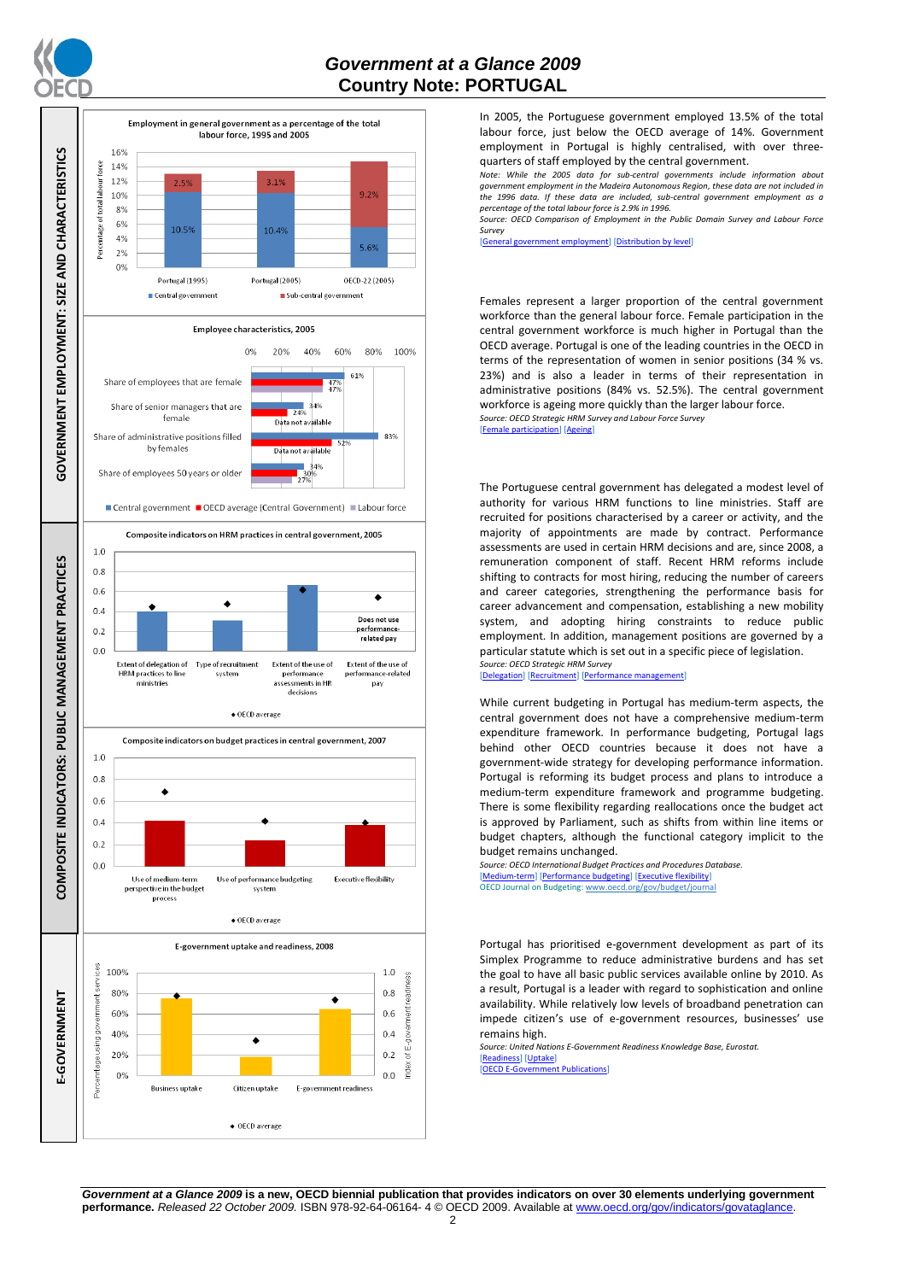



In 2005, the Portuguese government employed 13.5% of the total labour force, just below the OECD average of 14%. Government employment in Portugal is highly centralised, with over threequarters of staff employed by the central government.

*Note: While the 2005 data for sub-central governments include information about government employment in the Madeira Autonomous Region, these data are not included in the 1996 data. If these data are included, sub-central government employment as a percentage of the total labour force is 2.9% in 1996.*

*Source: OECD Comparison of Employment in the Public Domain Survey and Labour Force Survey*

[\[General government employment\]](http://dx.doi.org/10.1787/723622503117) [\[Distribution by level\]](http://dx.doi.org/10.1787/723627140760)

Females represent a larger proportion of the central government workforce than the general labour force. Female participation in the central government workforce is much higher in Portugal than the OECD average. Portugal is one of the leading countries in the OECD in terms of the representation of women in senior positions (34 % vs. 23%) and is also a leader in terms of their representation in administrative positions (84% vs. 52.5%). The central government workforce is ageing more quickly than the larger labour force. *Source: OECD Strategic HRM Survey and Labour Force Survey*

[\[Female participation\]](http://dx.doi.org/10.1787/723642841533) [\[Ageing\]](http://dx.doi.org/10.1787/723656070327)

The Portuguese central government has delegated a modest level of authority for various HRM functions to line ministries. Staff are recruited for positions characterised by a career or activity, and the majority of appointments are made by contract. Performance assessments are used in certain HRM decisions and are, since 2008, a remuneration component of staff. Recent HRM reforms include shifting to contracts for most hiring, reducing the number of careers and career categories, strengthening the performance basis for career advancement and compensation, establishing a new mobility system, and adopting hiring constraints to reduce public employment. In addition, management positions are governed by a particular statute which is set out in a specific piece of legislation. *Source: OECD Strategic HRM Survey* 

[\[Delegation\]](http://dx.doi.org/10.1787/723663744332) [\[Recruitment\]](http://dx.doi.org/10.1787/723668744361) [Performance]

While current budgeting in Portugal has medium-term aspects, the central government does not have a comprehensive medium-term expenditure framework. In performance budgeting, Portugal lags behind other OECD countries because it does not have a government-wide strategy for developing performance information. Portugal is reforming its budget process and plans to introduce a medium-term expenditure framework and programme budgeting. There is some flexibility regarding reallocations once the budget act is approved by Parliament, such as shifts from within line items or budget chapters, although the functional category implicit to the budget remains unchanged.

*Source: OECD International Budget Practices and Procedures Database.* [\[Medium-term\]](http://dx.doi.org/10.1787/723856770865) [\[Performance budgeting\]](http://dx.doi.org/10.1787/723863437686) [\[Executive flexibility\]](http://dx.doi.org/10.1787/723876713213) OECD Journal on Budgeting[: www.oecd.org/gov/budget/journal](http://www.oecd.org/gov/budget/journal)

Portugal has prioritised e-government development as part of its Simplex Programme to reduce administrative burdens and has set the goal to have all basic public services available online by 2010. As a result, Portugal is a leader with regard to sophistication and online availability. While relatively low levels of broadband penetration can impede citizen's use of e-government resources, businesses' use remains high.

*Source: United Nations E-Government Readiness Knowledge Base, Eurostat.* [\[Readiness\]](http://dx.doi.org/10.1787/724248078408) [\[Uptake\]](http://dx.doi.org/10.1787/724264662272)

[\[OECD E-Government Publications\]](http://www.oecd.org/document/40/0,3343,en_2649_34129_41342248_1_1_1_1,00.html)

*Government at a Glance 2009* **is a new, OECD biennial publication that provides indicators on over 30 elements underlying government performance.** *Released 22 October 2009.* ISBN 978-92-64-06164- 4 © OECD 2009. Available at www.oecd.org/gov/indicators/govataglance.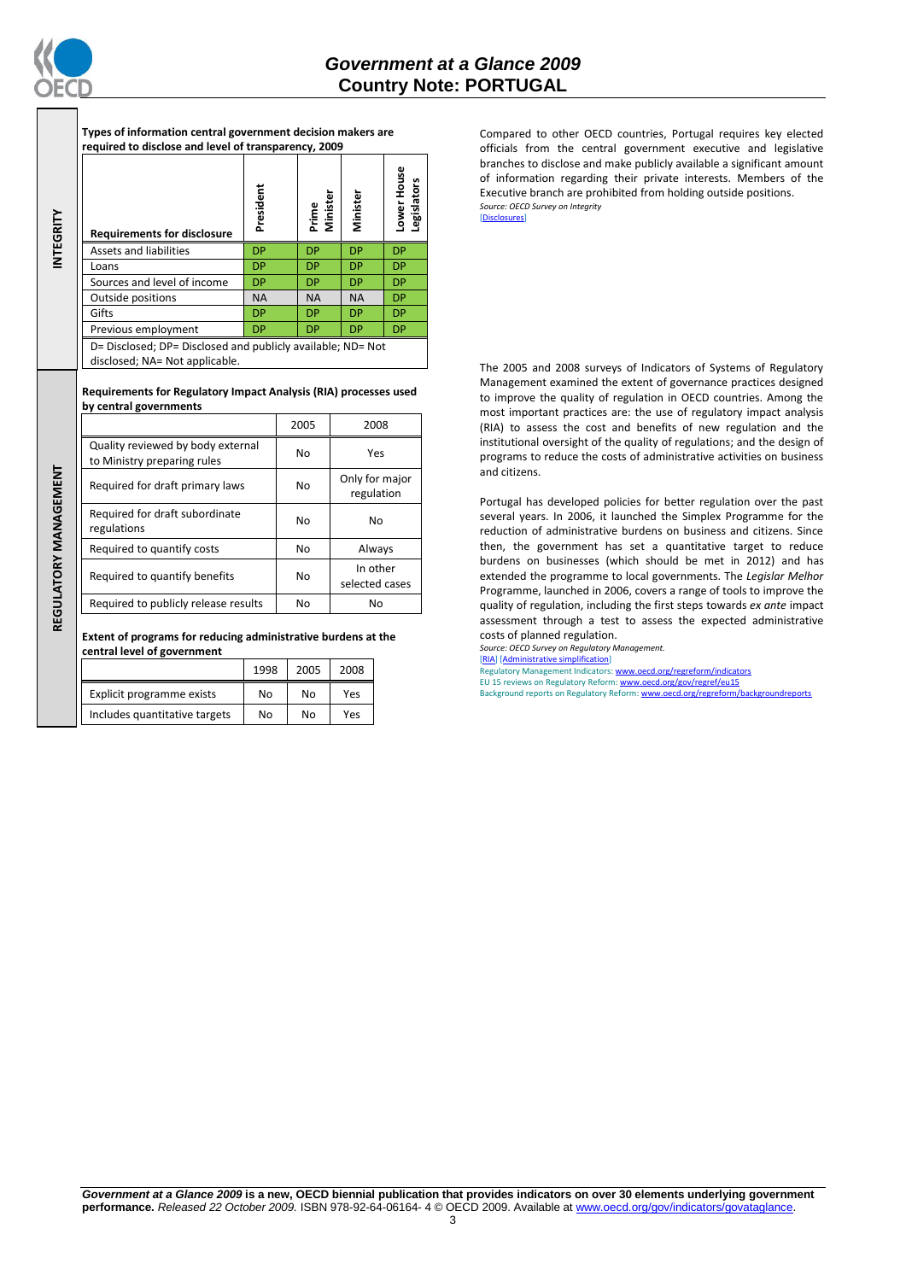

REGULATORY MANAGEMENT **REGULATORY MANAGEMENT**

**Types of information central government decision makers are required to disclose and level of transparency, 2009**

| INTEGRITY | <b>Requirements for disclosure</b>                                                            | President | Prime<br>Minister | Minister  | ower House<br>egislators. |
|-----------|-----------------------------------------------------------------------------------------------|-----------|-------------------|-----------|---------------------------|
|           | <b>Assets and liabilities</b>                                                                 | <b>DP</b> | <b>DP</b>         | <b>DP</b> | <b>DP</b>                 |
|           | Loans                                                                                         | <b>DP</b> | <b>DP</b>         | <b>DP</b> | <b>DP</b>                 |
|           | Sources and level of income                                                                   | <b>DP</b> | <b>DP</b>         | <b>DP</b> | <b>DP</b>                 |
|           | Outside positions                                                                             | <b>NA</b> | <b>NA</b>         | <b>NA</b> | <b>DP</b>                 |
|           | Gifts                                                                                         | <b>DP</b> | <b>DP</b>         | <b>DP</b> | <b>DP</b>                 |
|           | Previous employment                                                                           | <b>DP</b> | <b>DP</b>         | <b>DP</b> | DP                        |
|           | D= Disclosed; DP= Disclosed and publicly available; ND= Not<br>disclosed; NA= Not applicable. |           |                   |           |                           |

**Requirements for Regulatory Impact Analysis (RIA) processes used by central governments**

|                                                                  | 2005 | 2008                         |  |
|------------------------------------------------------------------|------|------------------------------|--|
| Quality reviewed by body external<br>to Ministry preparing rules | No   | Yes                          |  |
| Required for draft primary laws                                  | No   | Only for major<br>regulation |  |
| Required for draft subordinate<br>regulations                    | No   | No                           |  |
| Required to quantify costs                                       | No   | Always                       |  |
| Required to quantify benefits                                    | No   | In other<br>selected cases   |  |
| Required to publicly release results                             | No   | No                           |  |

**Extent of programs for reducing administrative burdens at the central level of government**

|                               | 1998 | 2005 | 2008 |
|-------------------------------|------|------|------|
| Explicit programme exists     | No   | No   | Yes  |
| Includes quantitative targets | No   | N٥   | Yes  |

Compared to other OECD countries, Portugal requires key elected officials from the central government executive and legislative branches to disclose and make publicly available a significant amount of information regarding their private interests. Members of the Executive branch are prohibited from holding outside positions. *Source: OECD Survey on Integrity* [\[Disclosures\]](http://dx.doi.org/10.1787/724123642681)

The 2005 and 2008 surveys of Indicators of Systems of Regulatory Management examined the extent of governance practices designed to improve the quality of regulation in OECD countries. Among the most important practices are: the use of regulatory impact analysis (RIA) to assess the cost and benefits of new regulation and the institutional oversight of the quality of regulations; and the design of programs to reduce the costs of administrative activities on business and citizens.

Portugal has developed policies for better regulation over the past several years. In 2006, it launched the Simplex Programme for the reduction of administrative burdens on business and citizens. Since then, the government has set a quantitative target to reduce burdens on businesses (which should be met in 2012) and has extended the programme to local governments. The *Legislar Melhor* Programme, launched in 2006, covers a range of tools to improve the quality of regulation, including the first steps towards *ex ante* impact assessment through a test to assess the expected administrative costs of planned regulation.

*Source: OECD Survey on Regulatory Management.*

[\[RIA\]](http://dx.doi.org/10.1787/724045144354) [\[Administrative simplification\]](http://dx.doi.org/10.1787/724058851054) Regulatory Management Indicators[: www.oecd.org/regreform/indicators](http://www.oecd.org/regreform/indicators)

EU 15 reviews on Regulatory Reform: <u>www.oecd.org/gov/regref/eu15</u><br>Background reports on Regulatory Reform: <u>www.oecd.org/regreform/backgroundreports</u>